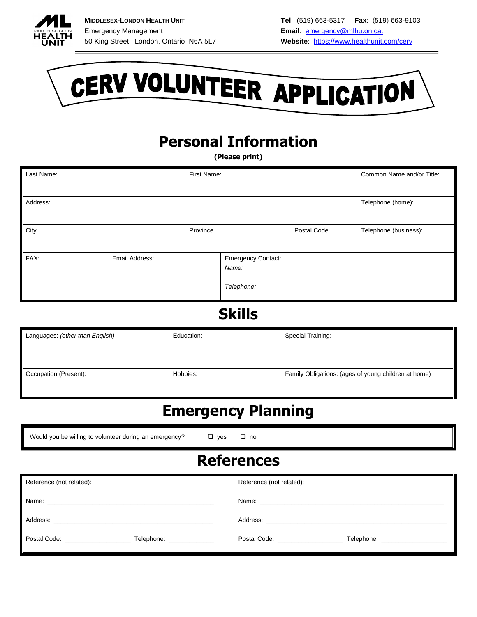



## **Personal Information**

**(Please print)**

| Last Name: |                | First Name: |                                                  | Common Name and/or Title: |                       |
|------------|----------------|-------------|--------------------------------------------------|---------------------------|-----------------------|
| Address:   |                |             |                                                  |                           | Telephone (home):     |
| City       |                | Province    |                                                  | Postal Code               | Telephone (business): |
| FAX:       | Email Address: |             | <b>Emergency Contact:</b><br>Name:<br>Telephone: |                           |                       |

### **Skills**

| Languages: (other than English) | Education: | <b>Special Training:</b>                             |
|---------------------------------|------------|------------------------------------------------------|
| Occupation (Present):           | Hobbies:   | Family Obligations: (ages of young children at home) |

# **Emergency Planning**

## **References**

| Reference (not related):                                                                                                                                                                                                               | Reference (not related):                                                                                                                                                                                                                                   |
|----------------------------------------------------------------------------------------------------------------------------------------------------------------------------------------------------------------------------------------|------------------------------------------------------------------------------------------------------------------------------------------------------------------------------------------------------------------------------------------------------------|
| Name:<br>the control of the control of the control of the control of the control of the control of the control of the control of the control of the control of the control of the control of the control of the control of the control | Name: Name: Name: Name: Name: Name: Name: Name: Name: Name: Name: Name: Name: Name: Name: Name: Name: Name: Name: Name: Name: Name: Name: Name: Name: Name: Name: Name: Name: Name: Name: Name: Name: Name: Name: Name: Name:                              |
| Address:                                                                                                                                                                                                                               |                                                                                                                                                                                                                                                            |
| Postal Code:<br>Telephone: _____________<br>and the company of the                                                                                                                                                                     | Postal Code: Note that the set of the set of the set of the set of the set of the set of the set of the set of the set of the set of the set of the set of the set of the set of the set of the set of the set of the set of t<br>Telephone: _____________ |